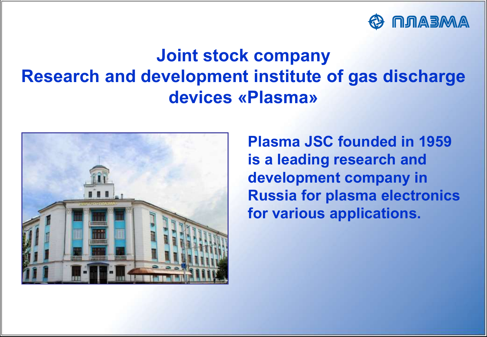

# **Joint stock company Research and development institute of gas discharge devices «Plasma»**



**Plasma JSC founded in 1959 is a leading research and development company in Russia for plasma electronics for various applications.**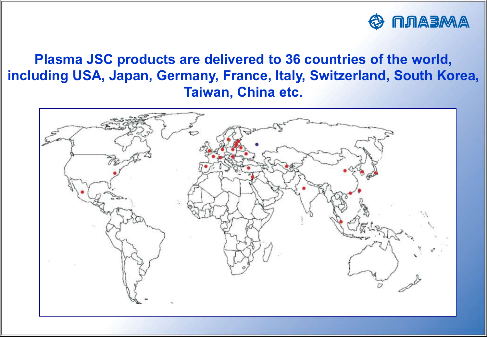

**Plasma JSC products are delivered to 36 countries of the world, including USA, Japan, Germany, France, Italy, Switzerland, South Korea, Taiwan, China etc.**

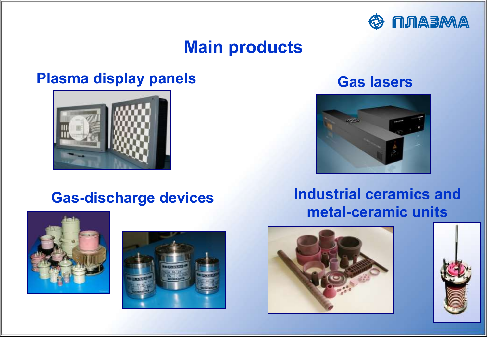

# **Main products**

## **Plasma display panels Gas lasers**









#### **Gas-discharge devices Industrial ceramics and metal-ceramic units**



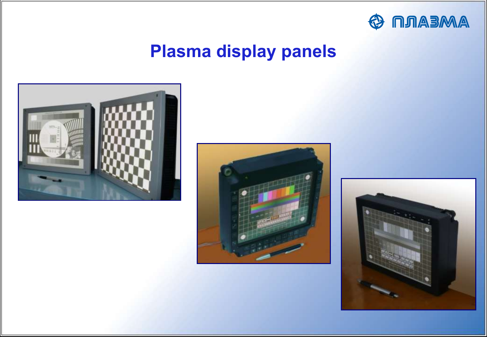

# **Plasma display panels**





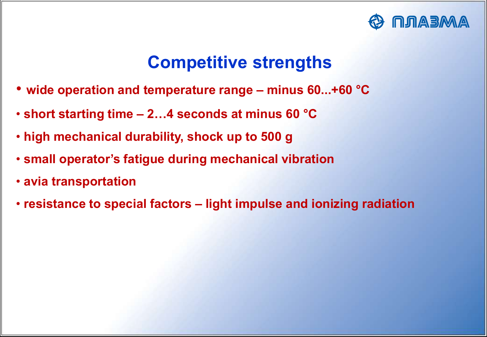

# **Competitive strengths**

- **wide operation and temperature range – minus 60...+60 °С**
- **short starting time – 2…4 seconds at minus 60 °С**
- **high mechanical durability, shock up to 500 g**
- **small operator's fatigue during mechanical vibration**
- **avia transportation**
- **resistance to special factors – light impulse and ionizing radiation**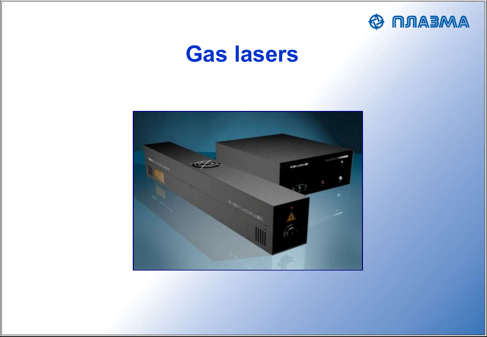

# **Gas lasers**

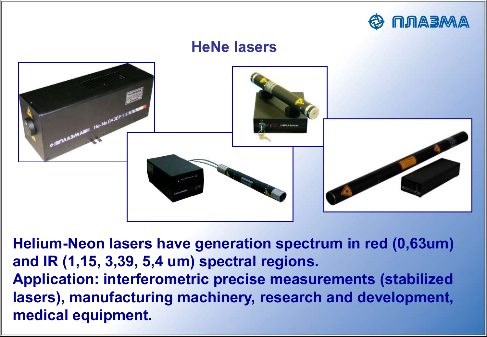

# **HeNe lasers**  $H$ <sup>He-Ne</sub>  $n$ A3EPII</sup> **IFICAASMARI**

**Helium-Neon lasers have generation spectrum in red (0,63um) and IR (1,15, 3,39, 5,4 um) spectral regions. Application: interferometric precise measurements (stabilized lasers), manufacturing machinery, research and development, medical equipment.**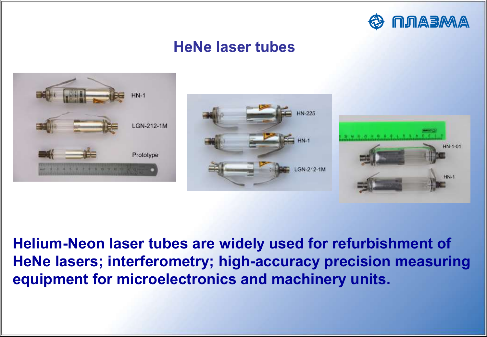

#### **HeNe laser tubes**







**Helium-Neon laser tubes are widely used for refurbishment of HeNe lasers; interferometry; high-accuracy precision measuring equipment for microelectronics and machinery units.**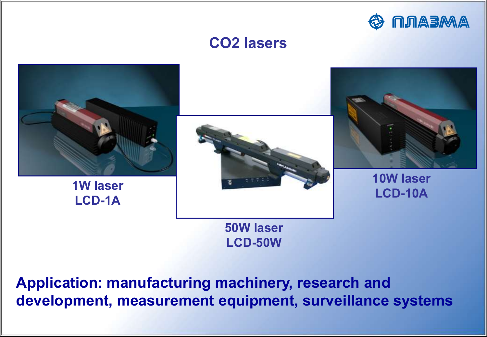

#### **CO2 lasers**



**Application: manufacturing machinery, research and development, measurement equipment, surveillance systems**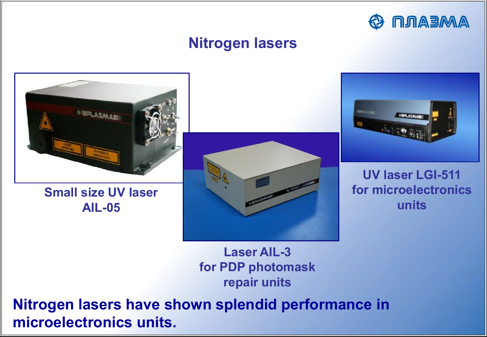

#### **Nitrogen lasers**



**Small size UV laser AIL-05**





**UV laser LGI-511 for microelectronics units**

**Laser AIL-3 for PDP photomask repair units**

**Nitrogen lasers have shown splendid performance in microelectronics units.**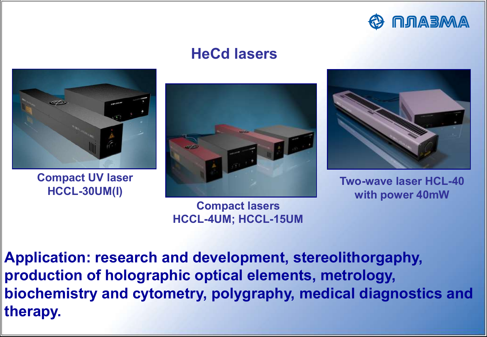

#### **HeCd lasers**



**Compact UV laser HCCL-30UM(I)**



**Compact lasers HCCL-4UM; HCCL-15UM**



**Two-wave laser HCL-40 with power 40mW**

**Application: research and development, stereolithorgaphy, production of holographic optical elements, metrology, biochemistry and cytometry, polygraphy, medical diagnostics and therapy.**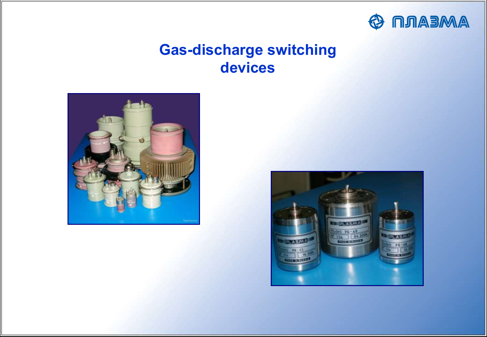

#### **Gas-discharge switching devices**



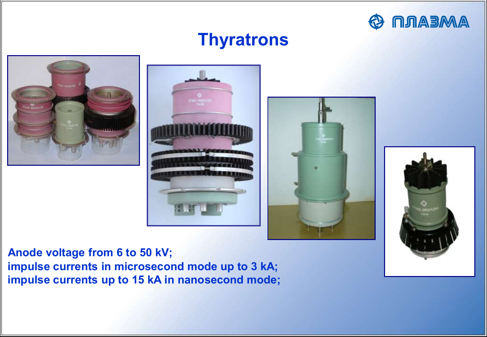

# **Thyratrons**









**Anode voltage from 6 to 50 kV; impulse currents in microsecond mode up to 3 kA; impulse currents up to 15 kA in nanosecond mode;**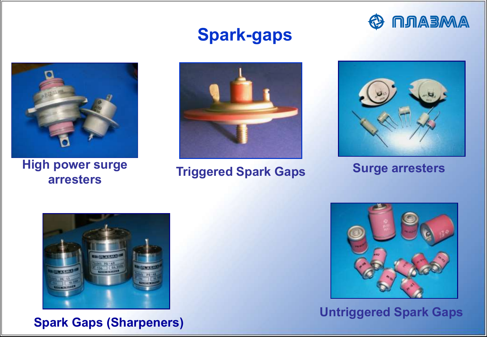



**High power surge arresters**

# **Spark-gaps**



**Triggered Spark Gaps**



**Surge arresters**



**Spark Gaps (Sharpeners)**



**Untriggered Spark Gaps**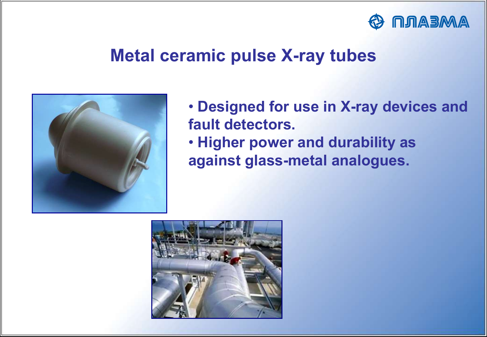

## **Metal ceramic pulse X-ray tubes**



• **Designed for use in X-ray devices and fault detectors.** • **Higher power and durability as against glass-metal analogues.**

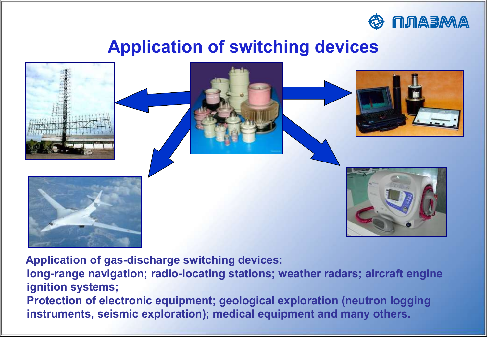

# **Application of switching devices**



 **Application of gas-discharge switching devices:**

**long-range navigation; radio-locating stations; weather radars; aircraft engine ignition systems;** 

**Protection of electronic equipment; geological exploration (neutron logging instruments, seismic exploration); medical equipment and many others.**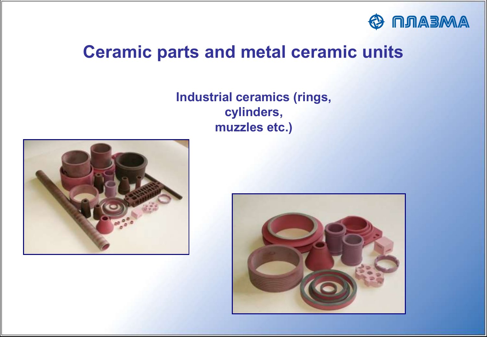

# **Ceramic parts and metal ceramic units**

#### **Industrial ceramics (rings, cylinders, muzzles etc.)**



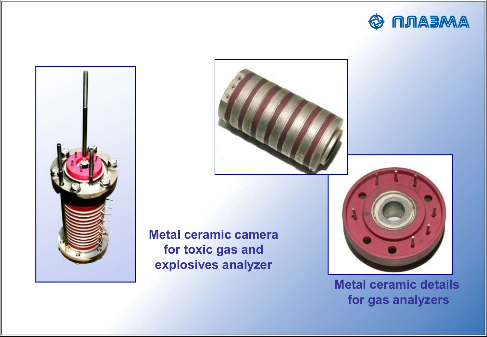



**Metal ceramic camera for toxic gas and explosives analyzer**



**Metal ceramic details for gas analyzers**